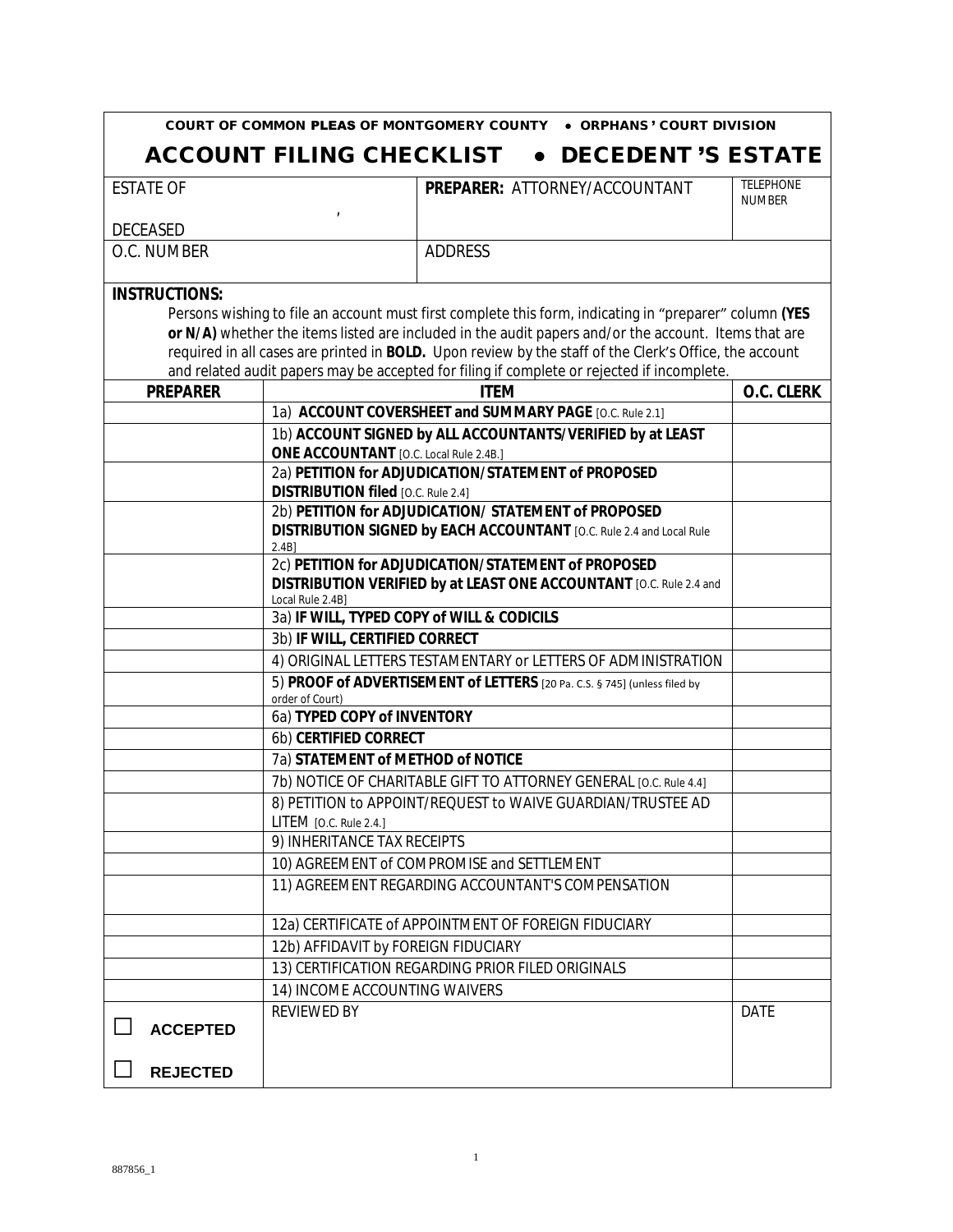|                      | COURT OF COMMON PLEAS OF MONTGOMERY COUNTY    | • ORPHANS' COURT DIVISION                                                                                                                                                                                      |                                   |
|----------------------|-----------------------------------------------|----------------------------------------------------------------------------------------------------------------------------------------------------------------------------------------------------------------|-----------------------------------|
|                      | <b>ACCOUNT FILING CHECKLIST</b>               | <b>DECEDENT 'S ESTATE</b>                                                                                                                                                                                      |                                   |
| <b>ESTATE OF</b>     |                                               | PREPARER: ATTORNEY/ACCOUNTANT                                                                                                                                                                                  | <b>TELEPHONE</b><br><b>NUMBER</b> |
| <b>DECEASED</b>      |                                               |                                                                                                                                                                                                                |                                   |
| O.C. NUMBER          |                                               | <b>ADDRESS</b>                                                                                                                                                                                                 |                                   |
| <b>INSTRUCTIONS:</b> |                                               | Persons wishing to file an account must first complete this form, indicating in "preparer" column (YES<br>or N/A) whether the items listed are included in the audit papers and/or the account. Items that are |                                   |
|                      |                                               | required in all cases are printed in BOLD. Upon review by the staff of the Clerk's Office, the account<br>and related audit papers may be accepted for filing if complete or rejected if incomplete.           |                                   |
| <b>PREPARER</b>      |                                               | <b>ITEM</b>                                                                                                                                                                                                    | O.C. CLERK                        |
|                      |                                               | 1a) ACCOUNT COVERSHEET and SUMMARY PAGE [O.C. Rule 2.1]                                                                                                                                                        |                                   |
|                      |                                               | 1b) ACCOUNT SIGNED by ALL ACCOUNTANTS/VERIFIED by at LEAST                                                                                                                                                     |                                   |
|                      | <b>ONE ACCOUNTANT</b> [O.C. Local Rule 2.4B.] |                                                                                                                                                                                                                |                                   |
|                      |                                               | 2a) PETITION for ADJUDICATION/STATEMENT of PROPOSED                                                                                                                                                            |                                   |
|                      | <b>DISTRIBUTION filed</b> [O.C. Rule 2.4]     |                                                                                                                                                                                                                |                                   |
|                      |                                               | 2b) PETITION for ADJUDICATION/ STATEMENT of PROPOSED                                                                                                                                                           |                                   |
|                      | 2.4B                                          | DISTRIBUTION SIGNED by EACH ACCOUNTANT [O.C. Rule 2.4 and Local Rule                                                                                                                                           |                                   |
|                      |                                               | 2c) PETITION for ADJUDICATION/STATEMENT of PROPOSED                                                                                                                                                            |                                   |
|                      | Local Rule 2.4B]                              | DISTRIBUTION VERIFIED by at LEAST ONE ACCOUNTANT [O.C. Rule 2.4 and                                                                                                                                            |                                   |
|                      | 3a) IF WILL, TYPED COPY of WILL & CODICILS    |                                                                                                                                                                                                                |                                   |
|                      | 3b) IF WILL, CERTIFIED CORRECT                |                                                                                                                                                                                                                |                                   |
|                      |                                               | 4) ORIGINAL LETTERS TESTAMENTARY or LETTERS OF ADMINISTRATION                                                                                                                                                  |                                   |
|                      | order of Court)                               | 5) PROOF of ADVERTISEMENT of LETTERS [20 Pa. C.S. § 745] (unless filed by                                                                                                                                      |                                   |
|                      | 6a) TYPED COPY of INVENTORY                   |                                                                                                                                                                                                                |                                   |
|                      | 6b) CERTIFIED CORRECT                         |                                                                                                                                                                                                                |                                   |
|                      | 7a) STATEMENT of METHOD of NOTICE             |                                                                                                                                                                                                                |                                   |
|                      |                                               | 7b) NOTICE OF CHARITABLE GIFT TO ATTORNEY GENERAL [O.C. Rule 4.4]                                                                                                                                              |                                   |
|                      | LITEM [O.C. Rule 2.4.]                        | 8) PETITION to APPOINT/REQUEST to WAIVE GUARDIAN/TRUSTEE AD                                                                                                                                                    |                                   |
|                      | 9) INHERITANCE TAX RECEIPTS                   |                                                                                                                                                                                                                |                                   |
|                      |                                               | 10) AGREEMENT of COMPROMISE and SETTLEMENT                                                                                                                                                                     |                                   |
|                      |                                               | 11) AGREEMENT REGARDING ACCOUNTANT'S COMPENSATION                                                                                                                                                              |                                   |
|                      |                                               | 12a) CERTIFICATE of APPOINTMENT OF FOREIGN FIDUCIARY                                                                                                                                                           |                                   |
|                      | 12b) AFFIDAVIT by FOREIGN FIDUCIARY           |                                                                                                                                                                                                                |                                   |
|                      |                                               | 13) CERTIFICATION REGARDING PRIOR FILED ORIGINALS                                                                                                                                                              |                                   |
|                      | 14) INCOME ACCOUNTING WAIVERS                 |                                                                                                                                                                                                                |                                   |
|                      | <b>REVIEWED BY</b>                            |                                                                                                                                                                                                                | <b>DATE</b>                       |
| <b>ACCEPTED</b>      |                                               |                                                                                                                                                                                                                |                                   |
| <b>REJECTED</b>      |                                               |                                                                                                                                                                                                                |                                   |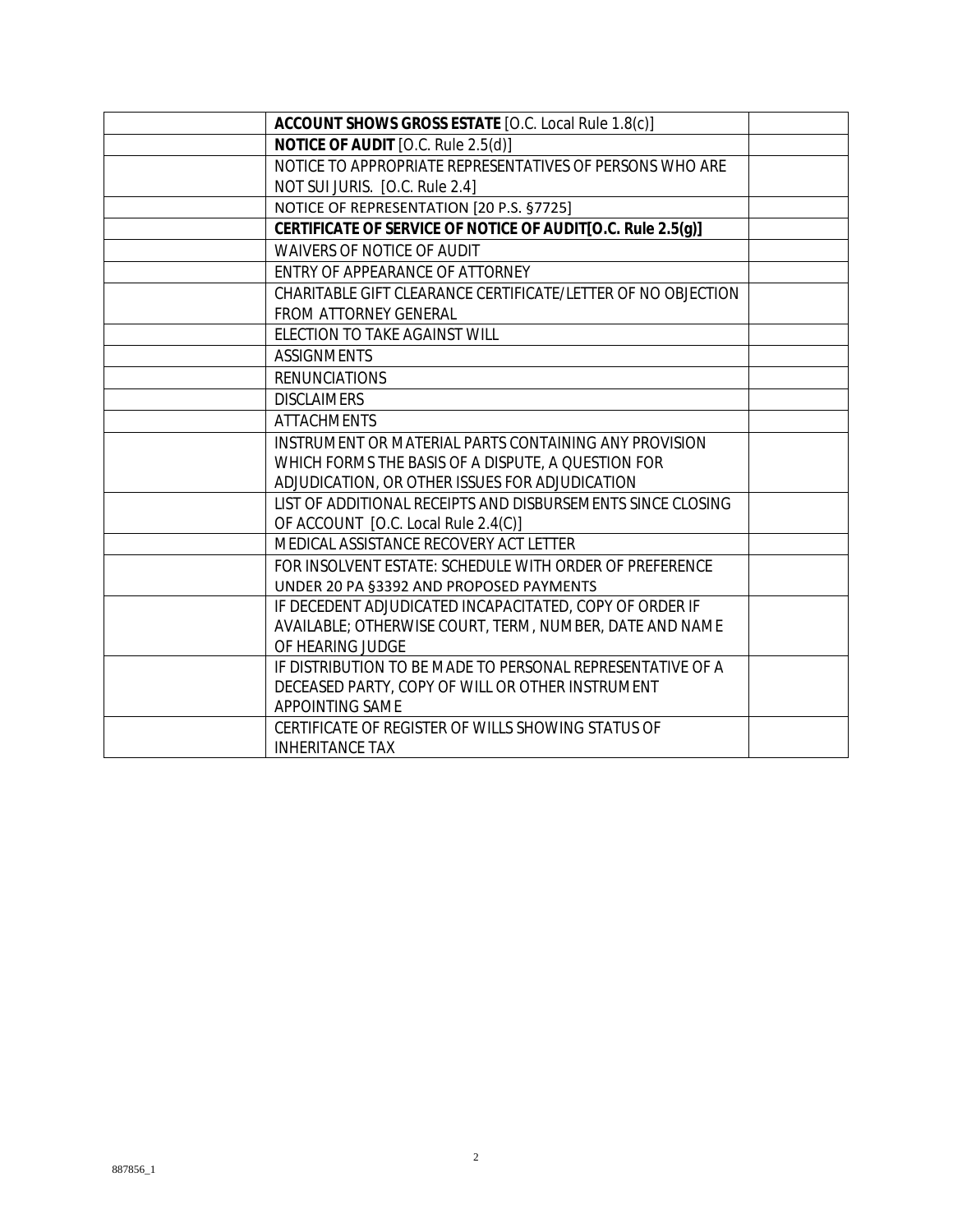| ACCOUNT SHOWS GROSS ESTATE [O.C. Local Rule 1.8(c)]          |  |
|--------------------------------------------------------------|--|
| NOTICE OF AUDIT [O.C. Rule 2.5(d)]                           |  |
| NOTICE TO APPROPRIATE REPRESENTATIVES OF PERSONS WHO ARE     |  |
| NOT SUI JURIS. [O.C. Rule 2.4]                               |  |
| NOTICE OF REPRESENTATION [20 P.S. §7725]                     |  |
| CERTIFICATE OF SERVICE OF NOTICE OF AUDIT[O.C. Rule 2.5(g)]  |  |
| WAIVERS OF NOTICE OF AUDIT                                   |  |
| ENTRY OF APPEARANCE OF ATTORNEY                              |  |
| CHARITABLE GIFT CLEARANCE CERTIFICATE/LETTER OF NO OBJECTION |  |
| FROM ATTORNEY GENERAL                                        |  |
| ELECTION TO TAKE AGAINST WILL                                |  |
| <b>ASSIGNMENTS</b>                                           |  |
| <b>RENUNCIATIONS</b>                                         |  |
| <b>DISCLAIMERS</b>                                           |  |
| <b>ATTACHMENTS</b>                                           |  |
| INSTRUMENT OR MATERIAL PARTS CONTAINING ANY PROVISION        |  |
| WHICH FORMS THE BASIS OF A DISPUTE, A QUESTION FOR           |  |
| ADJUDICATION, OR OTHER ISSUES FOR ADJUDICATION               |  |
| LIST OF ADDITIONAL RECEIPTS AND DISBURSEMENTS SINCE CLOSING  |  |
| OF ACCOUNT [O.C. Local Rule 2.4(C)]                          |  |
| MEDICAL ASSISTANCE RECOVERY ACT LETTER                       |  |
| FOR INSOLVENT ESTATE: SCHEDULE WITH ORDER OF PREFERENCE      |  |
| UNDER 20 PA §3392 AND PROPOSED PAYMENTS                      |  |
| IF DECEDENT ADJUDICATED INCAPACITATED, COPY OF ORDER IF      |  |
| AVAILABLE; OTHERWISE COURT, TERM, NUMBER, DATE AND NAME      |  |
| OF HEARING JUDGE                                             |  |
| IF DISTRIBUTION TO BE MADE TO PERSONAL REPRESENTATIVE OF A   |  |
| DECEASED PARTY, COPY OF WILL OR OTHER INSTRUMENT             |  |
| APPOINTING SAME                                              |  |
| CERTIFICATE OF REGISTER OF WILLS SHOWING STATUS OF           |  |
| <b>INHERITANCE TAX</b>                                       |  |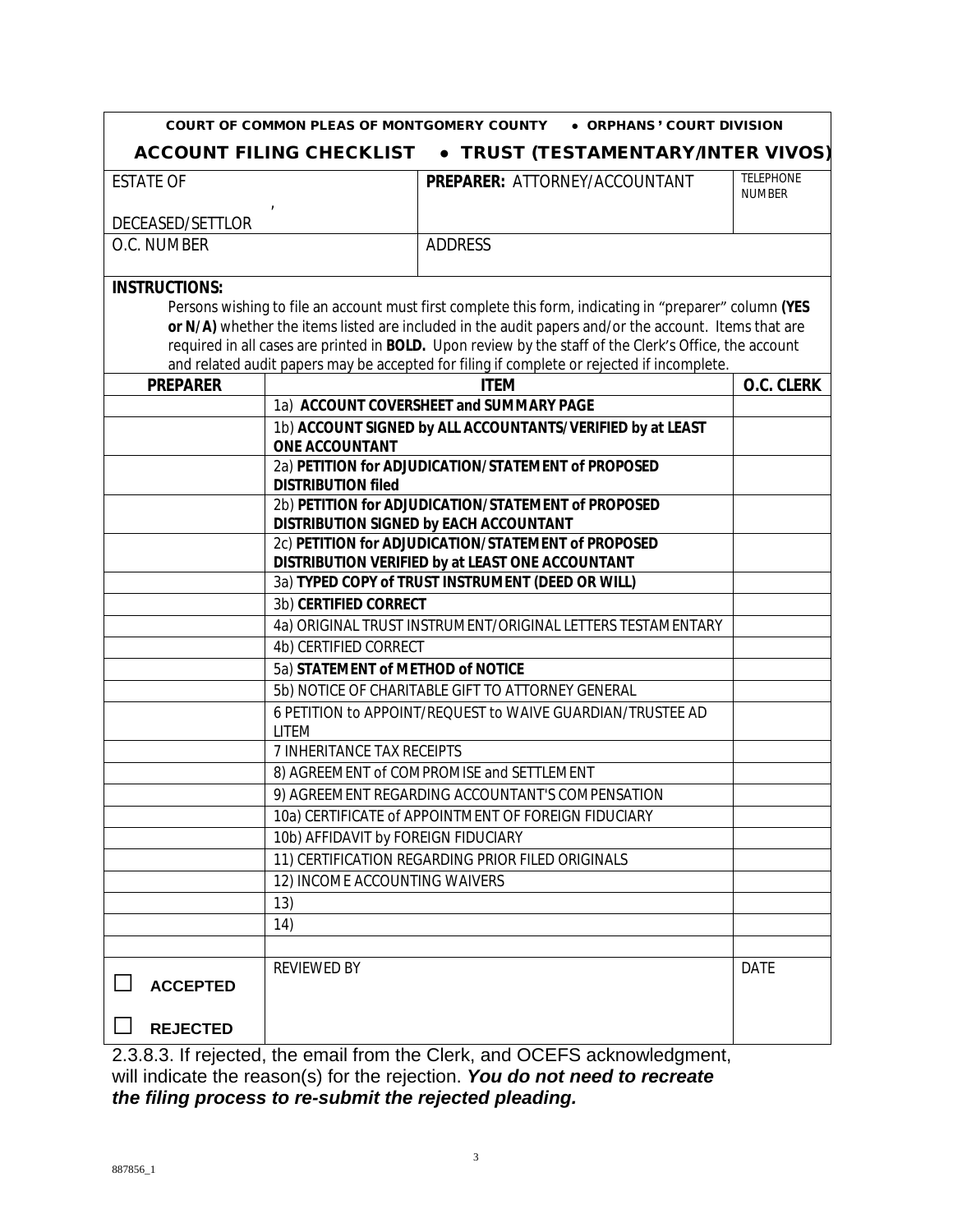|                      | COURT OF COMMON PLEAS OF MONTGOMERY COUNTY                                                               | • ORPHANS' COURT DIVISION                                                                              |                            |
|----------------------|----------------------------------------------------------------------------------------------------------|--------------------------------------------------------------------------------------------------------|----------------------------|
|                      | <b>ACCOUNT FILING CHECKLIST</b>                                                                          | • TRUST (TESTAMENTARY/INTER VIVOS)                                                                     |                            |
| <b>ESTATE OF</b>     |                                                                                                          | PREPARER: ATTORNEY/ACCOUNTANT                                                                          | TELEPHONE<br><b>NUMBER</b> |
| DECEASED/SETTLOR     |                                                                                                          |                                                                                                        |                            |
| O.C. NUMBER          |                                                                                                          | ADDRESS                                                                                                |                            |
| <b>INSTRUCTIONS:</b> |                                                                                                          |                                                                                                        |                            |
|                      |                                                                                                          | Persons wishing to file an account must first complete this form, indicating in "preparer" column (YES |                            |
|                      |                                                                                                          | or N/A) whether the items listed are included in the audit papers and/or the account. Items that are   |                            |
|                      |                                                                                                          | required in all cases are printed in BOLD. Upon review by the staff of the Clerk's Office, the account |                            |
|                      |                                                                                                          | and related audit papers may be accepted for filing if complete or rejected if incomplete.             |                            |
| <b>PREPARER</b>      |                                                                                                          | <b>ITEM</b>                                                                                            | O.C. CLERK                 |
|                      |                                                                                                          | 1a) ACCOUNT COVERSHEET and SUMMARY PAGE                                                                |                            |
|                      | <b>ONE ACCOUNTANT</b>                                                                                    | 1b) ACCOUNT SIGNED by ALL ACCOUNTANTS/VERIFIED by at LEAST                                             |                            |
|                      | <b>DISTRIBUTION filed</b>                                                                                | 2a) PETITION for ADJUDICATION/STATEMENT of PROPOSED                                                    |                            |
|                      |                                                                                                          | 2b) PETITION for ADJUDICATION/STATEMENT of PROPOSED                                                    |                            |
|                      |                                                                                                          | DISTRIBUTION SIGNED by EACH ACCOUNTANT                                                                 |                            |
|                      |                                                                                                          | 2c) PETITION for ADJUDICATION/STATEMENT of PROPOSED                                                    |                            |
|                      |                                                                                                          | DISTRIBUTION VERIFIED by at LEAST ONE ACCOUNTANT                                                       |                            |
|                      |                                                                                                          | 3a) TYPED COPY of TRUST INSTRUMENT (DEED OR WILL)                                                      |                            |
|                      | 3b) CERTIFIED CORRECT                                                                                    |                                                                                                        |                            |
|                      | 4a) ORIGINAL TRUST INSTRUMENT/ORIGINAL LETTERS TESTAMENTARY                                              |                                                                                                        |                            |
|                      | 4b) CERTIFIED CORRECT                                                                                    |                                                                                                        |                            |
|                      | 5a) STATEMENT of METHOD of NOTICE                                                                        |                                                                                                        |                            |
|                      | 5b) NOTICE OF CHARITABLE GIFT TO ATTORNEY GENERAL                                                        |                                                                                                        |                            |
|                      | 6 PETITION to APPOINT/REQUEST to WAIVE GUARDIAN/TRUSTEE AD                                               |                                                                                                        |                            |
|                      | <b>LITEM</b><br>7 INHERITANCE TAX RECEIPTS                                                               |                                                                                                        |                            |
|                      |                                                                                                          |                                                                                                        |                            |
|                      | 8) AGREEMENT of COMPROMISE and SETTLEMENT                                                                |                                                                                                        |                            |
|                      | 9) AGREEMENT REGARDING ACCOUNTANT'S COMPENSATION<br>10a) CERTIFICATE of APPOINTMENT OF FOREIGN FIDUCIARY |                                                                                                        |                            |
|                      |                                                                                                          |                                                                                                        |                            |
|                      | 10b) AFFIDAVIT by FOREIGN FIDUCIARY                                                                      |                                                                                                        |                            |
|                      |                                                                                                          | 11) CERTIFICATION REGARDING PRIOR FILED ORIGINALS                                                      |                            |
|                      | 12) INCOME ACCOUNTING WAIVERS                                                                            |                                                                                                        |                            |
|                      | 13)                                                                                                      |                                                                                                        |                            |
|                      | 14)                                                                                                      |                                                                                                        |                            |
|                      |                                                                                                          |                                                                                                        |                            |
| <b>ACCEPTED</b>      | <b>REVIEWED BY</b>                                                                                       |                                                                                                        | <b>DATE</b>                |
| <b>REJECTED</b>      |                                                                                                          |                                                                                                        |                            |
|                      |                                                                                                          |                                                                                                        |                            |

2.3.8.3. If rejected, the email from the Clerk, and OCEFS acknowledgment, will indicate the reason(s) for the rejection. *You do not need to recreate the filing process to re-submit the rejected pleading.*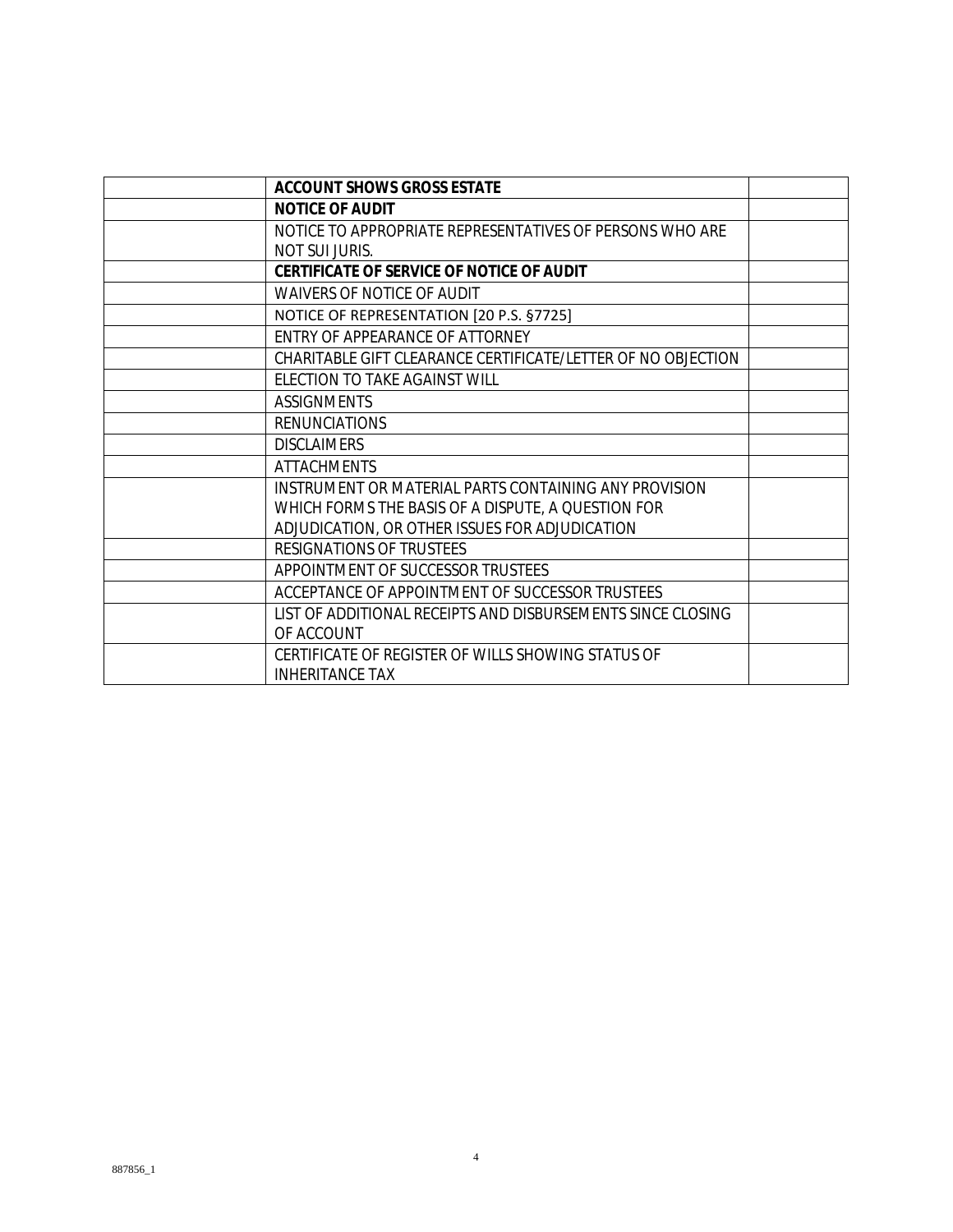| <b>ACCOUNT SHOWS GROSS ESTATE</b>                            |  |
|--------------------------------------------------------------|--|
| <b>NOTICE OF AUDIT</b>                                       |  |
| NOTICE TO APPROPRIATE REPRESENTATIVES OF PERSONS WHO ARE     |  |
| NOT SUI JURIS.                                               |  |
| CERTIFICATE OF SERVICE OF NOTICE OF AUDIT                    |  |
| <b>WAIVERS OF NOTICE OF AUDIT</b>                            |  |
| NOTICE OF REPRESENTATION [20 P.S. §7725]                     |  |
| ENTRY OF APPEARANCE OF ATTORNEY                              |  |
| CHARITABLE GIFT CLEARANCE CERTIFICATE/LETTER OF NO OBJECTION |  |
| ELECTION TO TAKE AGAINST WILL                                |  |
| <b>ASSIGNMENTS</b>                                           |  |
| <b>RENUNCIATIONS</b>                                         |  |
| <b>DISCLAIMERS</b>                                           |  |
| <b>ATTACHMENTS</b>                                           |  |
| INSTRUMENT OR MATERIAL PARTS CONTAINING ANY PROVISION        |  |
| WHICH FORMS THE BASIS OF A DISPUTE, A QUESTION FOR           |  |
| ADJUDICATION, OR OTHER ISSUES FOR ADJUDICATION               |  |
| RESIGNATIONS OF TRUSTEES                                     |  |
| APPOINTMENT OF SUCCESSOR TRUSTEES                            |  |
| ACCEPTANCE OF APPOINTMENT OF SUCCESSOR TRUSTEES              |  |
| LIST OF ADDITIONAL RECEIPTS AND DISBURSEMENTS SINCE CLOSING  |  |
| OF ACCOUNT                                                   |  |
| CERTIFICATE OF REGISTER OF WILLS SHOWING STATUS OF           |  |
| <b>INHERITANCE TAX</b>                                       |  |